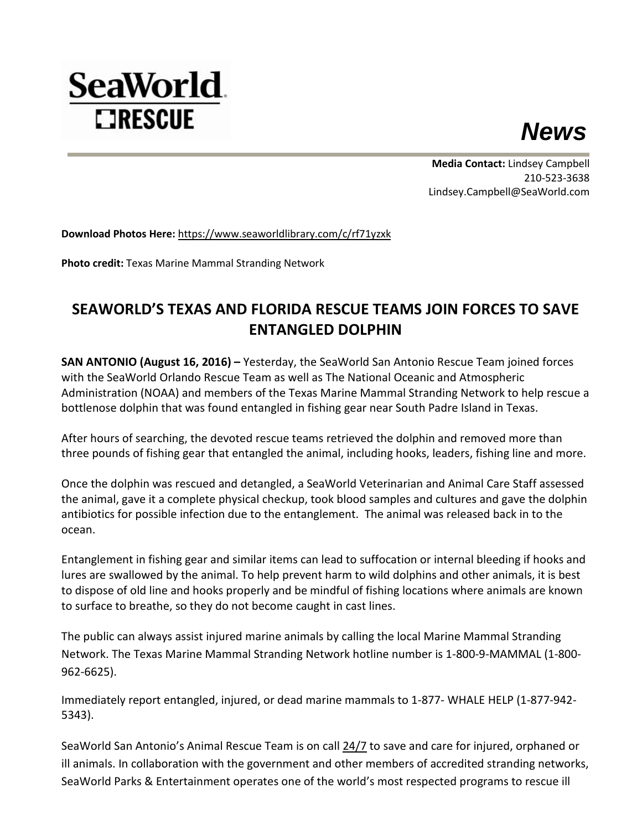

**Media Contact:** Lindsey Campbell 210-523-3638 Lindsey.Campbell@SeaWorld.com

**Download Photos Here:** <https://www.seaworldlibrary.com/c/rf71yzxk>

**Photo credit:** Texas Marine Mammal Stranding Network

**SeaWorld**.

**EIRESCUE** 

## **SEAWORLD'S TEXAS AND FLORIDA RESCUE TEAMS JOIN FORCES TO SAVE ENTANGLED DOLPHIN**

**SAN ANTONIO (August 16, 2016) –** Yesterday, the SeaWorld San Antonio Rescue Team joined forces with the SeaWorld Orlando Rescue Team as well as The National Oceanic and Atmospheric Administration (NOAA) and members of the Texas Marine Mammal Stranding Network to help rescue a bottlenose dolphin that was found entangled in fishing gear near South Padre Island in Texas.

After hours of searching, the devoted rescue teams retrieved the dolphin and removed more than three pounds of fishing gear that entangled the animal, including hooks, leaders, fishing line and more.

Once the dolphin was rescued and detangled, a SeaWorld Veterinarian and Animal Care Staff assessed the animal, gave it a complete physical checkup, took blood samples and cultures and gave the dolphin antibiotics for possible infection due to the entanglement. The animal was released back in to the ocean.

Entanglement in fishing gear and similar items can lead to suffocation or internal bleeding if hooks and lures are swallowed by the animal. To help prevent harm to wild dolphins and other animals, it is best to dispose of old line and hooks properly and be mindful of fishing locations where animals are known to surface to breathe, so they do not become caught in cast lines.

The public can always assist injured marine animals by calling the local Marine Mammal Stranding Network. The Texas Marine Mammal Stranding Network hotline number is 1-800-9-MAMMAL (1-800- 962-6625).

Immediately report entangled, injured, or dead marine mammals to 1-877- WHALE HELP (1-877-942- 5343).

SeaWorld San Antonio's Animal Rescue Team is on call [24/7](https://mail.seaworld.com/OWA/UrlBlockedError.aspx) to save and care for injured, orphaned or ill animals. In collaboration with the government and other members of accredited stranding networks, SeaWorld Parks & Entertainment operates one of the world's most respected programs to rescue ill